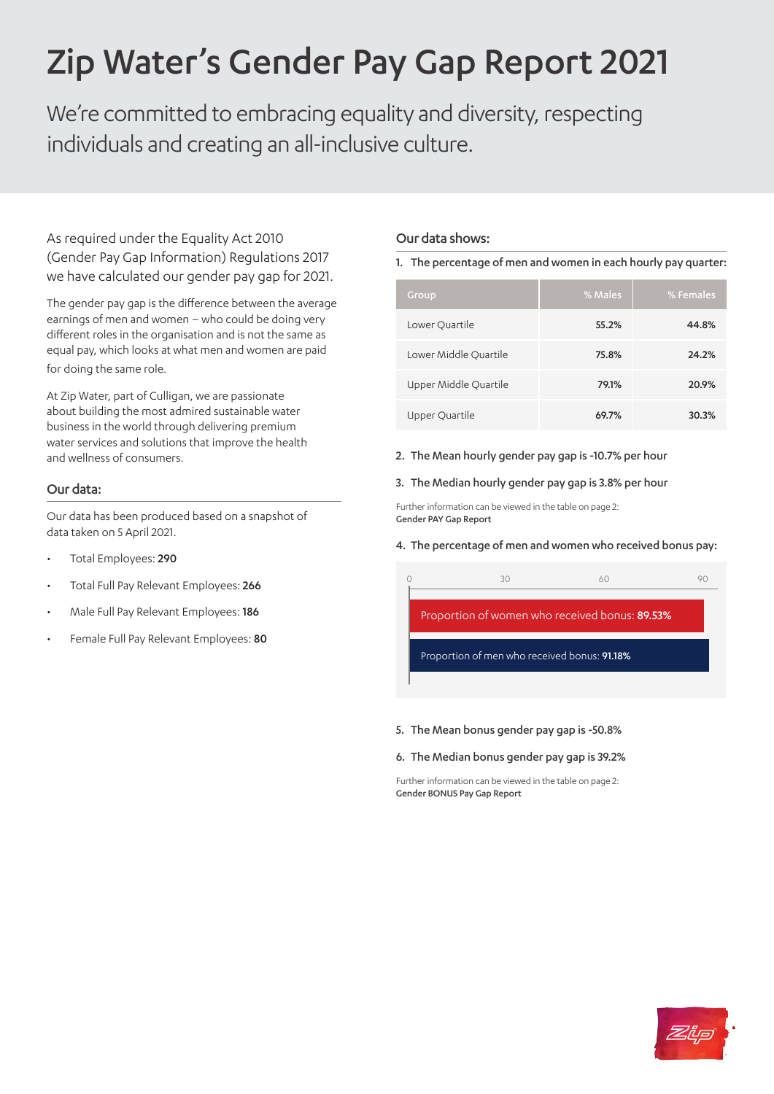# Zip Water's Gender Pay Gap Report 2021

We're committed to embracing equality and diversity, respecting individuals and creating an all-inclusive culture.

As required under the Equality Act 2010 (Gender Pay Gap Information) Regulations 2017 we have calculated our gender pay gap for 2021.

The gender pay gap is the difference between the average earnings of men and women – who could be doing very different roles in the organisation and is not the same as equal pay, which looks at what men and women are paid for doing the same role.

At Zip Water, part of Culligan, we are passionate about building the most admired sustainable water business in the world through delivering premium water services and solutions that improve the health and wellness of consumers.

# Our data:

Our data has been produced based on a snapshot of data taken on 5 April 2021.

- Total Employees: 290
- Total Full Pay Relevant Employees: 266
- Male Full Pay Relevant Employees: 186
- Female Full Pay Relevant Employees: 80

# Our data shows:

## 1. The percentage of men and women in each hourly pay quarter:

| Group                 | % Males | % Females |
|-----------------------|---------|-----------|
| Lower Quartile        | 55.2%   | 44.8%     |
| Lower Middle Quartile | 75.8%   | 24.2%     |
| Upper Middle Quartile | 79.1%   | 20.9%     |
| Upper Quartile        | 69.7%   | 30.3%     |

2. The Mean hourly gender pay gap is -10.7% per hour

## 3. The Median hourly gender pay gap is 3.8% per hour

Further information can be viewed in the table on page 2: Gender PAY Gap Report

## 4. The percentage of men and women who received bonus pay:

|                                                | 30 | 60 |  |  |  |
|------------------------------------------------|----|----|--|--|--|
| Proportion of women who received bonus: 89.53% |    |    |  |  |  |
| Proportion of men who received bonus: 91.18%   |    |    |  |  |  |

#### 5. The Mean bonus gender pay gap is -50.8%

#### 6. The Median bonus gender pay gap is 39.2%

Further information can be viewed in the table on page 2: Gender BONUS Pay Gap Report